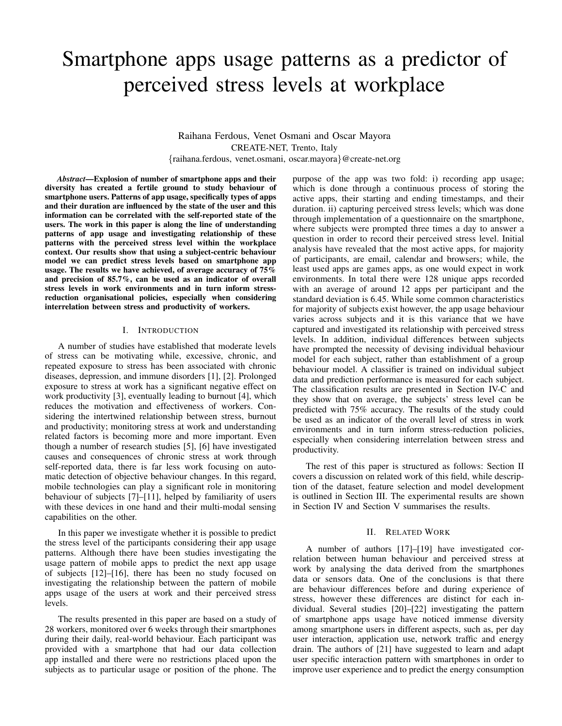# Smartphone apps usage patterns as a predictor of perceived stress levels at workplace

Raihana Ferdous, Venet Osmani and Oscar Mayora CREATE-NET, Trento, Italy {raihana.ferdous, venet.osmani, oscar.mayora}@create-net.org

*Abstract*—Explosion of number of smartphone apps and their diversity has created a fertile ground to study behaviour of smartphone users. Patterns of app usage, specifically types of apps and their duration are influenced by the state of the user and this information can be correlated with the self-reported state of the users. The work in this paper is along the line of understanding patterns of app usage and investigating relationship of these patterns with the perceived stress level within the workplace context. Our results show that using a subject-centric behaviour model we can predict stress levels based on smartphone app usage. The results we have achieved, of average accuracy of 75% and precision of 85.7%, can be used as an indicator of overall stress levels in work environments and in turn inform stressreduction organisational policies, especially when considering interrelation between stress and productivity of workers.

# I. INTRODUCTION

A number of studies have established that moderate levels of stress can be motivating while, excessive, chronic, and repeated exposure to stress has been associated with chronic diseases, depression, and immune disorders [1], [2]. Prolonged exposure to stress at work has a significant negative effect on work productivity [3], eventually leading to burnout [4], which reduces the motivation and effectiveness of workers. Considering the intertwined relationship between stress, burnout and productivity; monitoring stress at work and understanding related factors is becoming more and more important. Even though a number of research studies [5], [6] have investigated causes and consequences of chronic stress at work through self-reported data, there is far less work focusing on automatic detection of objective behaviour changes. In this regard, mobile technologies can play a significant role in monitoring behaviour of subjects [7]–[11], helped by familiarity of users with these devices in one hand and their multi-modal sensing capabilities on the other.

In this paper we investigate whether it is possible to predict the stress level of the participants considering their app usage patterns. Although there have been studies investigating the usage pattern of mobile apps to predict the next app usage of subjects [12]–[16], there has been no study focused on investigating the relationship between the pattern of mobile apps usage of the users at work and their perceived stress levels.

The results presented in this paper are based on a study of 28 workers, monitored over 6 weeks through their smartphones during their daily, real-world behaviour. Each participant was provided with a smartphone that had our data collection app installed and there were no restrictions placed upon the subjects as to particular usage or position of the phone. The purpose of the app was two fold: i) recording app usage; which is done through a continuous process of storing the active apps, their starting and ending timestamps, and their duration. ii) capturing perceived stress levels; which was done through implementation of a questionnaire on the smartphone, where subjects were prompted three times a day to answer a question in order to record their perceived stress level. Initial analysis have revealed that the most active apps, for majority of participants, are email, calendar and browsers; while, the least used apps are games apps, as one would expect in work environments. In total there were 128 unique apps recorded with an average of around 12 apps per participant and the standard deviation is 6.45. While some common characteristics for majority of subjects exist however, the app usage behaviour varies across subjects and it is this variance that we have captured and investigated its relationship with perceived stress levels. In addition, individual differences between subjects have prompted the necessity of devising individual behaviour model for each subject, rather than establishment of a group behaviour model. A classifier is trained on individual subject data and prediction performance is measured for each subject. The classification results are presented in Section IV-C and they show that on average, the subjects' stress level can be predicted with 75% accuracy. The results of the study could be used as an indicator of the overall level of stress in work environments and in turn inform stress-reduction policies, especially when considering interrelation between stress and productivity.

The rest of this paper is structured as follows: Section II covers a discussion on related work of this field, while description of the dataset, feature selection and model development is outlined in Section III. The experimental results are shown in Section IV and Section V summarises the results.

#### II. RELATED WORK

A number of authors [17]–[19] have investigated correlation between human behaviour and perceived stress at work by analysing the data derived from the smartphones data or sensors data. One of the conclusions is that there are behaviour differences before and during experience of stress, however these differences are distinct for each individual. Several studies [20]–[22] investigating the pattern of smartphone apps usage have noticed immense diversity among smartphone users in different aspects, such as, per day user interaction, application use, network traffic and energy drain. The authors of [21] have suggested to learn and adapt user specific interaction pattern with smartphones in order to improve user experience and to predict the energy consumption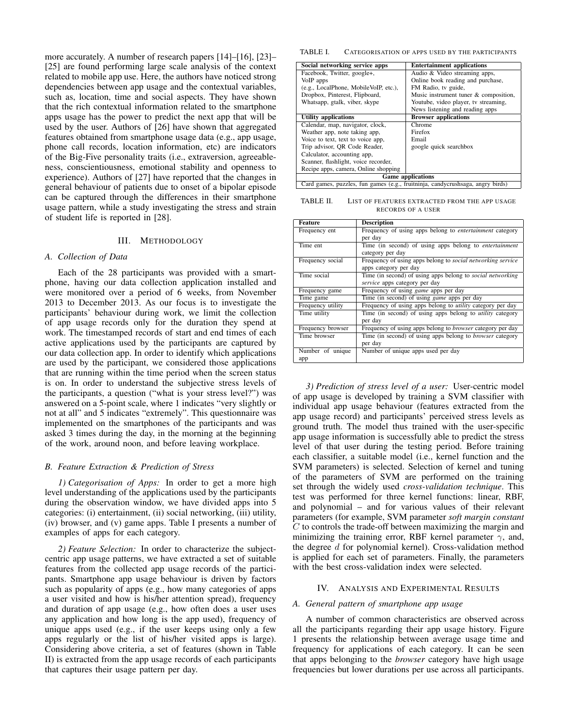more accurately. A number of research papers [14]–[16], [23]– [25] are found performing large scale analysis of the context related to mobile app use. Here, the authors have noticed strong dependencies between app usage and the contextual variables, such as, location, time and social aspects. They have shown that the rich contextual information related to the smartphone apps usage has the power to predict the next app that will be used by the user. Authors of [26] have shown that aggregated features obtained from smartphone usage data (e.g., app usage, phone call records, location information, etc) are indicators of the Big-Five personality traits (i.e., extraversion, agreeableness, conscientiousness, emotional stability and openness to experience). Authors of [27] have reported that the changes in general behaviour of patients due to onset of a bipolar episode can be captured through the differences in their smartphone usage pattern, while a study investigating the stress and strain of student life is reported in [28].

## III. METHODOLOGY

# *A. Collection of Data*

Each of the 28 participants was provided with a smartphone, having our data collection application installed and were monitored over a period of 6 weeks, from November 2013 to December 2013. As our focus is to investigate the participants' behaviour during work, we limit the collection of app usage records only for the duration they spend at work. The timestamped records of start and end times of each active applications used by the participants are captured by our data collection app. In order to identify which applications are used by the participant, we considered those applications that are running within the time period when the screen status is on. In order to understand the subjective stress levels of the participants, a question ("what is your stress level?") was answered on a 5-point scale, where 1 indicates "very slightly or not at all" and 5 indicates "extremely". This questionnaire was implemented on the smartphones of the participants and was asked 3 times during the day, in the morning at the beginning of the work, around noon, and before leaving workplace.

#### *B. Feature Extraction & Prediction of Stress*

*1) Categorisation of Apps:* In order to get a more high level understanding of the applications used by the participants during the observation window, we have divided apps into 5 categories: (i) entertainment, (ii) social networking, (iii) utility, (iv) browser, and (v) game apps. Table I presents a number of examples of apps for each category.

*2) Feature Selection:* In order to characterize the subjectcentric app usage patterns, we have extracted a set of suitable features from the collected app usage records of the participants. Smartphone app usage behaviour is driven by factors such as popularity of apps (e.g., how many categories of apps a user visited and how is his/her attention spread), frequency and duration of app usage (e.g., how often does a user uses any application and how long is the app used), frequency of unique apps used (e.g., if the user keeps using only a few apps regularly or the list of his/her visited apps is large). Considering above criteria, a set of features (shown in Table II) is extracted from the app usage records of each participants that captures their usage pattern per day.

TABLE I. CATEGORISATION OF APPS USED BY THE PARTICIPANTS

| Social networking service apps                                                 | <b>Entertainment applications</b>     |  |  |  |
|--------------------------------------------------------------------------------|---------------------------------------|--|--|--|
| Facebook, Twitter, google+,                                                    | Audio & Video streaming apps,         |  |  |  |
| VoIP apps                                                                      | Online book reading and purchase,     |  |  |  |
| (e.g., LocalPhone, MobileVoIP, etc.),                                          | FM Radio, tv guide,                   |  |  |  |
| Dropbox, Pinterest, Flipboard,                                                 | Music instrument tuner & composition, |  |  |  |
| Whatsapp, gtalk, viber, skype                                                  | Youtube, video player, tv streaming,  |  |  |  |
|                                                                                | News listening and reading apps       |  |  |  |
| <b>Utility applications</b>                                                    | <b>Browser</b> applications           |  |  |  |
| Calendar, map, navigator, clock,                                               | Chrome                                |  |  |  |
| Weather app, note taking app,                                                  | Firefox                               |  |  |  |
| Voice to text, text to voice app,                                              | Email                                 |  |  |  |
| Trip advisor, OR Code Reader,                                                  | google quick searchbox                |  |  |  |
| Calculator, accounting app.                                                    |                                       |  |  |  |
| Scanner, flashlight, voice recorder,                                           |                                       |  |  |  |
| Recipe apps, camera, Online shopping                                           |                                       |  |  |  |
| <b>Game</b> applications                                                       |                                       |  |  |  |
| Card games, puzzles, fun games (e.g., fruitninja, candycrushsaga, angry birds) |                                       |  |  |  |

TABLE II. LIST OF FEATURES EXTRACTED FROM THE APP USAGE RECORDS OF A USER

| Feature           | <b>Description</b>                                                 |
|-------------------|--------------------------------------------------------------------|
| Frequency ent     | Frequency of using apps belong to <i>entertainment</i> category    |
|                   | per day                                                            |
| Time ent          | Time (in second) of using apps belong to entertainment             |
|                   | category per day                                                   |
| Frequency social  | Frequency of using apps belong to <i>social networking service</i> |
|                   | apps category per day                                              |
| Time social       | Time (in second) of using apps belong to <i>social networking</i>  |
|                   | <i>service</i> apps category per day                               |
| Frequency game    | Frequency of using <i>game</i> apps per day                        |
| Time game         | Time (in second) of using <i>game</i> apps per day                 |
| Frequency utility | Frequency of using apps belong to <i>utility</i> category per day  |
| Time utility      | Time (in second) of using apps belong to <i>utility</i> category   |
|                   | per day                                                            |
| Frequency browser | Frequency of using apps belong to <i>browser</i> category per day  |
| Time browser      | Time (in second) of using apps belong to <i>browser</i> category   |
|                   | per day                                                            |
| Number of unique  | Number of unique apps used per day                                 |
| app               |                                                                    |

*3) Prediction of stress level of a user:* User-centric model of app usage is developed by training a SVM classifier with individual app usage behaviour (features extracted from the app usage record) and participants' perceived stress levels as ground truth. The model thus trained with the user-specific app usage information is successfully able to predict the stress level of that user during the testing period. Before training each classifier, a suitable model (i.e., kernel function and the SVM parameters) is selected. Selection of kernel and tuning of the parameters of SVM are performed on the training set through the widely used *cross-validation technique*. This test was performed for three kernel functions: linear, RBF, and polynomial – and for various values of their relevant parameters (for example, SVM parameter *soft margin constant* C to controls the trade-off between maximizing the margin and minimizing the training error, RBF kernel parameter  $\gamma$ , and, the degree d for polynomial kernel). Cross-validation method is applied for each set of parameters. Finally, the parameters with the best cross-validation index were selected.

## IV. ANALYSIS AND EXPERIMENTAL RESULTS

#### *A. General pattern of smartphone app usage*

A number of common characteristics are observed across all the participants regarding their app usage history. Figure 1 presents the relationship between average usage time and frequency for applications of each category. It can be seen that apps belonging to the *browser* category have high usage frequencies but lower durations per use across all participants.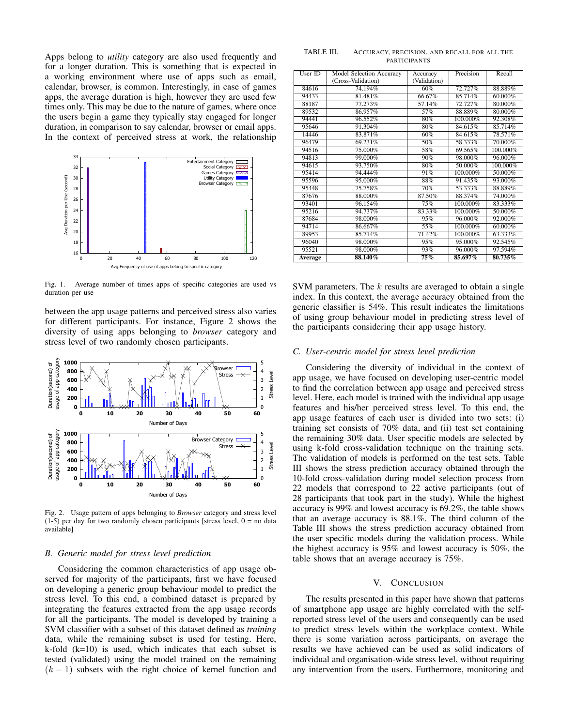Apps belong to *utility* category are also used frequently and for a longer duration. This is something that is expected in a working environment where use of apps such as email, calendar, browser, is common. Interestingly, in case of games apps, the average duration is high, however they are used few times only. This may be due to the nature of games, where once the users begin a game they typically stay engaged for longer duration, in comparison to say calendar, browser or email apps. In the context of perceived stress at work, the relationship



Fig. 1. Average number of times apps of specific categories are used vs duration per use

between the app usage patterns and perceived stress also varies for different participants. For instance, Figure 2 shows the diversity of using apps belonging to *browser* category and stress level of two randomly chosen participants.



Fig. 2. Usage pattern of apps belonging to *Browser* category and stress level  $(1-5)$  per day for two randomly chosen participants [stress level,  $0 =$  no data available]

## *B. Generic model for stress level prediction*

Considering the common characteristics of app usage observed for majority of the participants, first we have focused on developing a generic group behaviour model to predict the stress level. To this end, a combined dataset is prepared by integrating the features extracted from the app usage records for all the participants. The model is developed by training a SVM classifier with a subset of this dataset defined as *training* data, while the remaining subset is used for testing. Here, k-fold (k=10) is used, which indicates that each subset is tested (validated) using the model trained on the remaining  $(k - 1)$  subsets with the right choice of kernel function and

TABLE III. ACCURACY, PRECISION, AND RECALL FOR ALL THE PARTICIPANTS

| User ID | Model Selection Accuracy | Accuracy     | Precision | Recall   |
|---------|--------------------------|--------------|-----------|----------|
|         | (Cross-Validation)       | (Validation) |           |          |
| 84616   | 74.194%                  | 60%          | 72.727%   | 88.889%  |
| 94433   | 81.481%                  | 66.67%       | 85.714%   | 60.000%  |
| 88187   | 77.273%                  | 57.14%       | 72.727%   | 80.000%  |
| 89532   | 86.957%                  | 57%          | 88.889%   | 80.000%  |
| 94441   | 96.552%                  | $80\%$       | 100.000%  | 92.308%  |
| 95646   | 91.304%                  | 80%          | 84.615%   | 85.714%  |
| 14446   | 83.871%                  | 60%          | 84.615%   | 78.571%  |
| 96479   | 69.231%                  | 50%          | 58.333%   | 70.000%  |
| 94516   | 75.000%                  | 58%          | 69.565%   | 100.000% |
| 94813   | 99.000%                  | 90%          | 98.000%   | 96.000%  |
| 94615   | 93.750%                  | 80%          | 50.000%   | 100.000% |
| 95414   | 94.444%                  | 91%          | 100.000%  | 50.000%  |
| 95596   | 95.000%                  | 88%          | 91.435%   | 93.000%  |
| 95448   | 75.758%                  | 70%          | 53.333%   | 88.889%  |
| 87676   | 88.000%                  | 87.50%       | 88.374%   | 74.000%  |
| 93401   | 96.154%                  | 75%          | 100.000%  | 83.333%  |
| 95216   | 94.737%                  | 83.33%       | 100.000%  | 50.000%  |
| 87684   | 98.000%                  | 95%          | 96.000%   | 92.000%  |
| 94714   | 86.667%                  | 55%          | 100.000%  | 60.000%  |
| 89953   | 85.714%                  | 71.42%       | 100.000%  | 63.333%  |
| 96040   | 98.000%                  | 95%          | 95.000%   | 92.545%  |
| 95521   | 98.000%                  | 93%          | 96.000%   | 97.594%  |
| Average | 88.140%                  | 75%          | 85.697%   | 80.735%  |

SVM parameters. The  $k$  results are averaged to obtain a single index. In this context, the average accuracy obtained from the generic classifier is 54%. This result indicates the limitations of using group behaviour model in predicting stress level of the participants considering their app usage history.

# *C. User-centric model for stress level prediction*

Considering the diversity of individual in the context of app usage, we have focused on developing user-centric model to find the correlation between app usage and perceived stress level. Here, each model is trained with the individual app usage features and his/her perceived stress level. To this end, the app usage features of each user is divided into two sets: (i) training set consists of 70% data, and (ii) test set containing the remaining 30% data. User specific models are selected by using k-fold cross-validation technique on the training sets. The validation of models is performed on the test sets. Table III shows the stress prediction accuracy obtained through the 10-fold cross-validation during model selection process from 22 models that correspond to 22 active participants (out of 28 participants that took part in the study). While the highest accuracy is 99% and lowest accuracy is 69.2%, the table shows that an average accuracy is 88.1%. The third column of the Table III shows the stress prediction accuracy obtained from the user specific models during the validation process. While the highest accuracy is 95% and lowest accuracy is 50%, the table shows that an average accuracy is 75%.

#### V. CONCLUSION

The results presented in this paper have shown that patterns of smartphone app usage are highly correlated with the selfreported stress level of the users and consequently can be used to predict stress levels within the workplace context. While there is some variation across participants, on average the results we have achieved can be used as solid indicators of individual and organisation-wide stress level, without requiring any intervention from the users. Furthermore, monitoring and